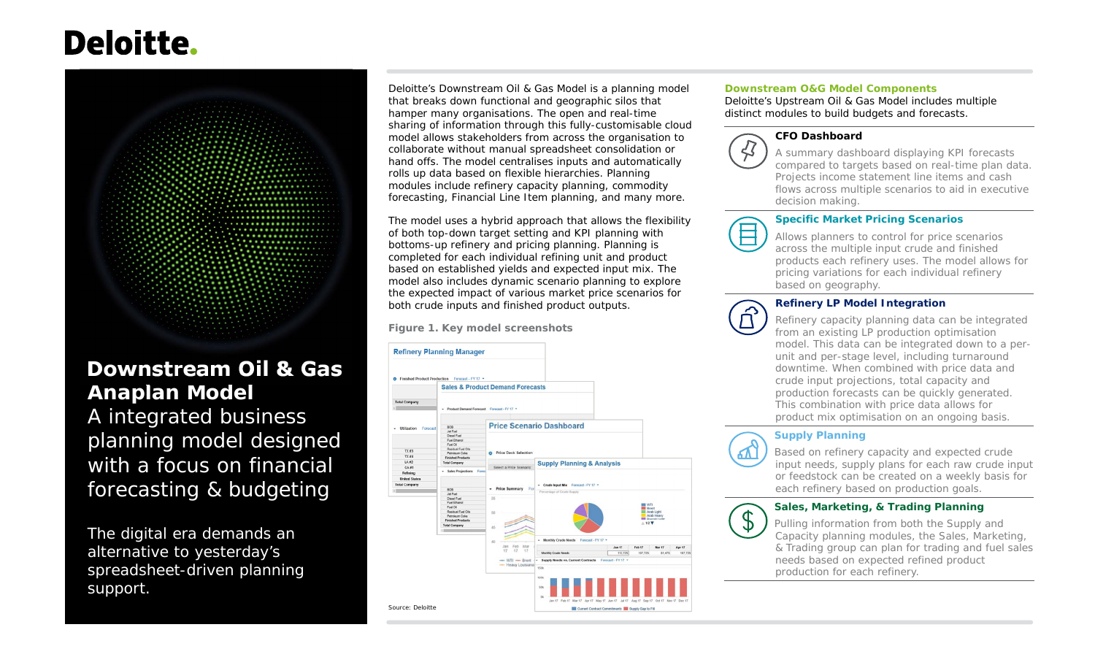# **Deloitte.**



# **Downstream Oil & Gas Anaplan Model** A integrated business planning model designed with a focus on financial forecasting & budgeting

The digital era demands an alternative to yesterday's spreadsheet-driven planning support.

Deloitte's Downstream Oil & Gas Model is a planning model that breaks down functional and geographic silos that hamper many organisations. The open and real-time sharing of information through this fully-customisable cloud model allows stakeholders from across the organisation to collaborate without manual spreadsheet consolidation or hand offs. The model centralises inputs and automatically rolls up data based on flexible hierarchies. Planning modules include refinery capacity planning, commodity forecasting, Financial Line Item planning, and many more.

The model uses a hybrid approach that allows the flexibility of both top-down target setting and KPI planning with bottoms-up refinery and pricing planning. Planning is completed for each individual refining unit and product based on established yields and expected input mix. The model also includes dynamic scenario planning to explore the expected impact of various market price scenarios for both crude inputs and finished product outputs.

**Figure 1. Key model screenshots**



#### **Downstream O&G Model Components**

Deloitte's Upstream Oil & Gas Model includes multiple distinct modules to build budgets and forecasts.



#### **CFO Dashboard**

 A summary dashboard displaying KPI forecasts compared to targets based on real-time plan data. Projects income statement line items and cash flows across multiple scenarios to aid in executive decision making.

#### **Specific Market Pricing Scenarios**



Allows planners to control for price scenarios across the multiple input crude and finished products each refinery uses. The model allows for pricing variations for each individual refinerybased on geography.

#### **Refinery LP Model Integration**



Refinery capacity planning data can be integrated from an existing LP production optimisation model. This data can be integrated down to a perunit and per-stage level, including turnaround downtime. When combined with price data and crude input projections, total capacity and production forecasts can be quickly generated.This combination with price data allows forproduct mix optimisation on an ongoing basis.



#### **Supply Planning**

Based on refinery capacity and expected crude input needs, supply plans for each raw crude input or feedstock can be created on a weekly basis for each refinery based on production goals.



#### **Sales, Marketing, & Trading Planning**

 Pulling information from both the Supply and Capacity planning modules, the Sales, Marketing, & Trading group can plan for trading and fuel sales needs based on expected refined product production for each refinery.